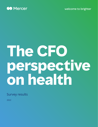

welcome to brighter

# **The CFO perspective on health**

Survey results

2022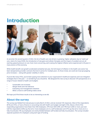### **Introduction**



As we enter the second quarter of 2022, the list of health care cost drivers is growing: Higher utilization due to "catch-up" care, claims for long COVID, the introduction of new gene and cellular therapies and the impact of avoided care are all exerting upward pressure on cost. Even more concerning, we're seeing the highest inflation we've experienced in 40 years in many sectors of the economy.

While health benefit cost growth accelerated somewhat last year, the full impact of inflation in the health care sector has been dampened by provider contracts that lock in prices for multiple years. As those renew, we could see truly eye-popping price increases — along with greater volatility in claims.

If you're like many CFOs, you've been paying more attention to your organization's healthcare expenses and cost mitigation strategies than in the past — or wondering if you should be. We designed this new survey to discover CFO perspectives on a range of issues related to health care budgets:

- Sustainable cost increases
- Margin levels and risk tolerance
- Evaluating cost-management initiatives
- When a move to self-funding makes sense

We hope you'll find these results to be as interesting as we did.

### **About the survey**

The survey was fielded from late January to early March of 2022, and we received 105 responses. Most of the respondents (81%) are CFOs, or have a finance or accounting role with health care budget oversight (12%). About a third of the responding organizations have fewer than 500 employees, 47% have 500-4,999, and 19% have 5,000 or more. Just over half the respondents (54%) say that all or most employees are in a self-funded plan and 37% say that all or most are in a fully insured plan; 9% say employees are evenly divided between self-funded and fully insured plans. The survey included separate questions for employers using each type of funding.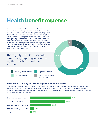### **Health benefit expense**

Given the persistently high level at which health care costs have trended relative to other goods and services and to wages, it's not surprising that over two-thirds of respondents (69%) indicate that health care costs are a significant concern – including 16% who say they are a very significant concern. Respondents from the largest organizations (those with 5,000 or more employees) were the most likely to cite a high level of concern - 85% say health care costs are a significant concern. Although many input costs across the economy are increasing, Mercer believes health care cost will continue to outpace other budget expense areas over the next one to three years.

The majority of CFOs -- especially those in very large organizations - say that health care costs are a concern

Very significant concern **Significant concern** 

Somewhat of a concern Not a concern relative to

**30%**

**2%**

**16%**

other expenses

#### **Measures for tracking and evaluating health benefit expenses**

CFOs use multiple measures to track expenses, with most respondents using at least two. Most commonly, expenses are tracked on an aggregate cost basis and on a per-employee basis. About a third track the impact on operating margin, an important measure that can help put health care costs in context of the broader business dynamics and highlight its relative impact on a company's bottom line.



**52%**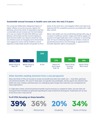#### *Sustainable* **annual increase in health care cost over the next 3-5 years**

The survey was fielded after widespread reports of higher inflation across the economy. Against this backdrop, almost two-thirds of respondents said that a sustainable annual increase over the intermediate term was at or below CPI (with little difference seen between self-funded and fully insured employers). Given that the health care industry overall has had very limited success at managing cost to these levels, more aggressive actions will be needed to control expenses to keep health benefit cost growth at CPI or below. At the same time, cost-mitigation efforts will need to be balanced with the competitive pressures associated with a tight labor market.

Mercer sees health care costs accelerating, perhaps with a lag, as increases in healthcare workers' wages and medical supplies are passed on through health plans over a multi-year re-contracting cycle. On top of underlying wage/unit cost inflation, trends are persistently pressured as new technology, an aging workforce, and other dynamics add to cost pressures.



#### **Other benefits needing attention from a cost perspective**

About two-thirds of CFOs are focused on at least one benefit area other than health care — most often, paid leave and retirement benefits. The costs for these plans are typically more predictable, and thus garner less attention than health care costs. However, paid leave plans are undergoing rapid changes that could have cost consequences for many organizations.

In a tight labor market, enhanced paid leave benefits may be necessary to compete for talent, and new state and local government mandates are generally expanding the scope of paid time off programs. If paid leave isn't an area of cost focus now, it may soon be.

#### **% of CFOs focusing on these benefits:**





Paid leave





Retirement Disability None of these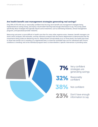#### **Are health benefit cost management strategies generating real savings?**

Only 39% of CFOs felt very or reasonably confident that the long–term benefit cost management strategies being implemented are saving money, and nearly a fourth didn't feel they had enough information to say. The survey asked specifically about strategies that typically require some investment, such as well-being initiatives, clinical management programs, and specialized provider networks.

Measuring outcomes is more difficult in health care than for many other expense areas. However, benefit managers can share cohort analyses, ROI estimates, and key indicatory analyses with the finance department to demonstrate that the investments being made are delivering returns. Measurement should ideally occur at three levels: the health plan level, to show how overall cost is trending; at a segmented level, to show (for example) how cost for individuals with chronic conditions is trending; and at the individual program level, to show whether a specific intervention is providing value.

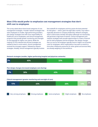#### **Most CFOs would prefer to emphasize cost management strategies that don't shift cost to employees**

The survey asked about three broad categories of costmanagement strategies: Provider network strategies that steer employees to smaller, high-performing providers; plan design strategies that shift more responsibility for healthcare cost to employees; and clinical management programs that provide greater monitoring and oversight of care (typically for higher-cost claims). While the majority of CFOs indicate that all three strategies are needed at least to some extent, clinical management received the strongest support, followed by network strategies. Notably, clinical management typically involves

few tradeoffs for employees and thus poses the least potential for disruption — which, given the tight labor market, may make it especially attractive to company leadership. Network strategies, which could involve member disruption (although not necessarily), still garnered a high level of interest. Clinical management and network strategies both provide opportunities to create a financial win for both employees and the employer. Plan design changes that cut cost for the employer typically result in higher out-of-pocket costs for employees, which organizations may want to avoid at a time when inflationary pressures for other goods and services likely are already weighing on the workforce.

#### **Network strategies (smaller, higher-performing hospital and physician networks)**

| 3% | 45%                                                                   |                 | 32% |               | 11%             | 10% |             |
|----|-----------------------------------------------------------------------|-----------------|-----|---------------|-----------------|-----|-------------|
|    | Plan design changes (increased employee cost sharing)                 |                 |     |               |                 |     |             |
| 7% | 30%                                                                   |                 | 43% |               | 16%             | 5%  |             |
|    | <b>Clinical management (greater monitoring and oversight of care)</b> |                 |     |               |                 |     |             |
|    | 15%                                                                   | 43%             |     |               | 26%             | 14% | 2%          |
|    |                                                                       |                 |     |               |                 |     |             |
|    | Very strong emphasis                                                  | Strong emphasis |     | Some emphasis | Slight emphasis |     | No emphasis |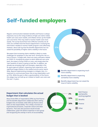### **Self-funded employers**

Regular communication between benefits and finance is always important, but as the rising incidence of high-cost claims makes health care costs more volatile, and inflation drives up the health care cost trend, CFOs may need to monitor health costs more closely. The survey found that most (70%) but certainly not all CFOs are confident that the finance department is receiving the information needed to monitor health program costs effectively. However, about half say that the benefits department has not raised the possibility of higher claims volatility in the future.

We expect that increasing claims volatility is likely to create challenges for employers in the near term. Driving this risk is a host of factors. To begin with, there are many unknowns related to COVID-19, including the extent to which deferred care come back, the impact of long COVID on costs, and simply what the 'new' baseline of claims is going to look like. In addition, we already see emerging high-cost therapies, especially in the Rx space (gene & cellular), impacting claim experience, and significant wage inflation in the medical service sector seems likely. Beyond implementing strategies to mitigate risks, it is important to communicate these risks to key stakeholders such as CFOs. While the past is often a good predictor of the future, this adage may not hold up as it relates to health care costs over the next 1-3 years.



#### **Department that calculates the actual budget that is booked**

About three-fifths of respondents (59%) say that finance and the benefits department collaborate when setting budgets that are booked, while 36% say finance alone takes on that responsibility. This is likely a function of organizational processes, corporate culture and other dynamics. That said, best practices would include collaboration, given the distinct expertise in each group and recognizing the overlap in terms of accountability.

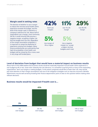

#### **Level of deviation from budget that would have a material impact on business results**

About half of CFOs (48%) believe that business results would be materially impacted if actual health claims experience is over budget by 4% or less. Given their relatively low risk tolerance, it is somewhat surprising that so many of the responding organizations don't use margins in setting budgets. To the extent companies would like to lower their risk, they should pay close attention to their margin assumptions and use of risk mitigation strategies such as stop loss insurance. Benefits departments may be well served by knowing their finance departments' point of view on this question before making other relevant decisions.



#### **Business results would be impacted if health cost is....**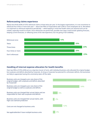#### **Reforecasting claims experience**

Nearly two-thirds (63%) of CFOs reforecast claims at least twice per year. In the largest organizations, it is not uncommon to reforecast four times or more each year — about two-fifths of respondents with 5,000 or more employees do so. We believe it is important to reforecast experience periodically — while keeping in mind that health claims are seasonal and can be volatile, especially month-to-month. Once reforecasts are performed, possible next steps could include updating forecasts, keeping current forecasts, or reflecting some of the new experience, but not giving it full credibility.



#### **Handling of internal expense allocation for health benefits**

Over two-fifths of CFOs (43%) act as a stop-loss insurer of sorts, with individual business units allocated the original budget, but surpluses and deficits absorbed by Corporate. As long as Corporate has planned for unforeseen deficits, the businesses are likely to appreciate having this uncertainty taken off the table.

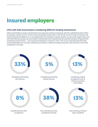## **Insured employers**

#### **CFOs with fully insured plans considering different funding mechanisms**

Fully-insured health coverage is generally the most expensive funding arrangement, with the tradeoff being that it offers the greatest certainty in terms of costs. Actuaries typically estimate that it costs 3%-5% more to be fully insured than selfinsured, although the difference can vary depending on the employer's specific situation. Survey results suggest that some CFOs with fully-insured plans are more likely to overestimate than underestimate the potential savings to be gained from converting to self-insurance — 51% say they would expect to save 5% or more. Thus it's not surprising that half of fully insured respondents are currently considering converting to a different funding mechanism, and more than a third have considered it in the past.

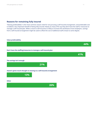#### **Reasons for remaining fully insured**

"Valuing predictability" is the most common reason cited for not pursuing a self-insured arrangement, and predictable cost is indeed a very important benefit of being fully insured. Nearly as many CFOs say they don't have the staff or resources to manage a self-insured plan. While a move to self-insurance is likely to increase the workload at most employers, savings from a self-insured arrangement might be used to offset the cost of additional staff at least to some degree.

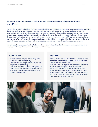#### **To weather health care cost inflation and claims volatility, play both defense and offense**

Higher inflation is likely to heighten interest in new, and perhaps more aggressive, health benefit cost management strategies. If employer health plan sponsors don't index cost-sharing amounts to inflation (e.g., for copays, deductibles, and OOP maximums), it will result in benefit cost increases that are even higher than the underlying medical trend. At the same time, employees may struggle to afford health care if medical costs rise faster than their own wages. We learned during the last financial crisis that health care is an economically sensitive service and that some people will forego important care when they feel they can't afford it. Thus, the downstream implications of affordability — and today tight labor market, in which benefits must help attract and retain workers — will need to be balanced with more immediate cost management concerns.

Not taking action is not a good option. Rather, employers need both to defend their budgets with sound management processes while mounting a strong offense against rising costs.

#### **Play defense**

- Monitor medical and prescription drug costs versus budget more frequently
- Introduce or raise budget margins to prepare for greater claims volatility
- Start renewals earlier so there's enough time to understand and negotiate pricing components in the light of COVID experience and current economic environment

#### **Play offense**

- Reining in cost growth without shifting cost may require trade-offs, such as offering employees lower-cost plans with smaller provider networks.
- Virtual services can improve access and save employees money by eliminating the cost of transportation, childcare, or time off from work when seeking care.
- Model the impact of rising costs on employees both payroll contributions and out-of-pocket costs. In today's tight labor market, cost management must be balanced with attraction and retention goals